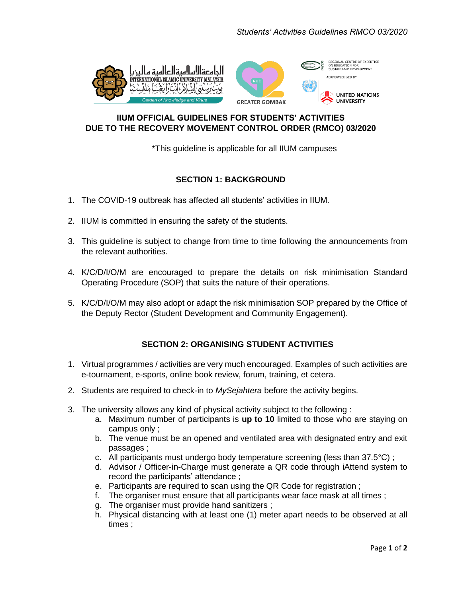

## **IIUM OFFICIAL GUIDELINES FOR STUDENTS' ACTIVITIES DUE TO THE RECOVERY MOVEMENT CONTROL ORDER (RMCO) 03/2020**

\*This guideline is applicable for all IIUM campuses

## **SECTION 1: BACKGROUND**

- 1. The COVID-19 outbreak has affected all students' activities in IIUM.
- 2. IIUM is committed in ensuring the safety of the students.
- 3. This guideline is subject to change from time to time following the announcements from the relevant authorities.
- 4. K/C/D/I/O/M are encouraged to prepare the details on risk minimisation Standard Operating Procedure (SOP) that suits the nature of their operations.
- 5. K/C/D/I/O/M may also adopt or adapt the risk minimisation SOP prepared by the Office of the Deputy Rector (Student Development and Community Engagement).

# **SECTION 2: ORGANISING STUDENT ACTIVITIES**

- 1. Virtual programmes / activities are very much encouraged. Examples of such activities are e-tournament, e-sports, online book review, forum, training, et cetera.
- 2. Students are required to check-in to *MySejahtera* before the activity begins.
- 3. The university allows any kind of physical activity subject to the following :
	- a. Maximum number of participants is **up to 10** limited to those who are staying on campus only ;
	- b. The venue must be an opened and ventilated area with designated entry and exit passages ;
	- c. All participants must undergo body temperature screening (less than 37.5°C) ;
	- d. Advisor / Officer-in-Charge must generate a QR code through iAttend system to record the participants' attendance ;
	- e. Participants are required to scan using the QR Code for registration ;
	- f. The organiser must ensure that all participants wear face mask at all times ;
	- g. The organiser must provide hand sanitizers ;
	- h. Physical distancing with at least one (1) meter apart needs to be observed at all times ;